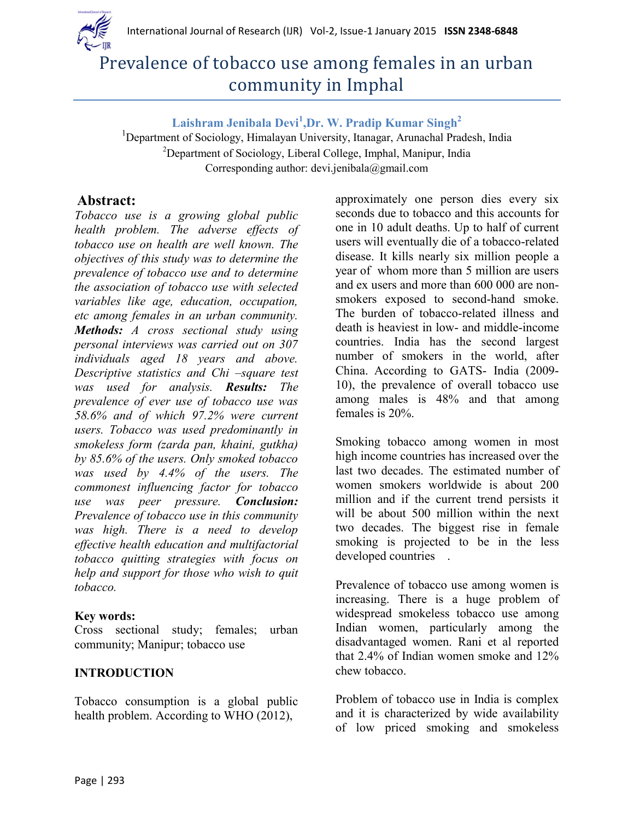



# Prevalence of tobacco use among females in an urban community in Imphal

**Laishram Jenibala Devi<sup>1</sup> ,Dr. W. Pradip Kumar Singh<sup>2</sup>**

<sup>1</sup>Department of Sociology, Himalayan University, Itanagar, Arunachal Pradesh, India <sup>2</sup>Department of Sociology, Liberal College, Imphal, Manipur, India Corresponding author: devi.jenibala@gmail.com

# **Abstract:**

*Tobacco use is a growing global public health problem. The adverse effects of tobacco use on health are well known. The objectives of this study was to determine the prevalence of tobacco use and to determine the association of tobacco use with selected variables like age, education, occupation, etc among females in an urban community. Methods: A cross sectional study using personal interviews was carried out on 307 individuals aged 18 years and above. Descriptive statistics and Chi –square test was used for analysis. Results: The prevalence of ever use of tobacco use was 58.6% and of which 97.2% were current users. Tobacco was used predominantly in smokeless form (zarda pan, khaini, gutkha) by 85.6% of the users. Only smoked tobacco was used by 4.4% of the users. The commonest influencing factor for tobacco use was peer pressure. Conclusion: Prevalence of tobacco use in this community was high. There is a need to develop effective health education and multifactorial tobacco quitting strategies with focus on help and support for those who wish to quit tobacco.* 

#### **Key words:**

Cross sectional study; females; urban community; Manipur; tobacco use

#### **INTRODUCTION**

Tobacco consumption is a global public health problem. According to WHO (2012),

approximately one person dies every six seconds due to tobacco and this accounts for one in 10 adult deaths. Up to half of current users will eventually die of a tobacco-related disease. It kills nearly six million people a year of whom more than 5 million are users and ex users and more than 600 000 are nonsmokers exposed to second-hand smoke. The burden of tobacco-related illness and death is heaviest in low- and middle-income countries. India has the second largest number of smokers in the world, after China. According to GATS- India (2009- 10), the prevalence of overall tobacco use among males is 48% and that among females is 20%.

Smoking tobacco among women in most high income countries has increased over the last two decades. The estimated number of women smokers worldwide is about 200 million and if the current trend persists it will be about 500 million within the next two decades. The biggest rise in female smoking is projected to be in the less developed countries .

Prevalence of tobacco use among women is increasing. There is a huge problem of widespread smokeless tobacco use among Indian women, particularly among the disadvantaged women. Rani et al reported that 2.4% of Indian women smoke and 12% chew tobacco.

Problem of tobacco use in India is complex and it is characterized by wide availability of low priced smoking and smokeless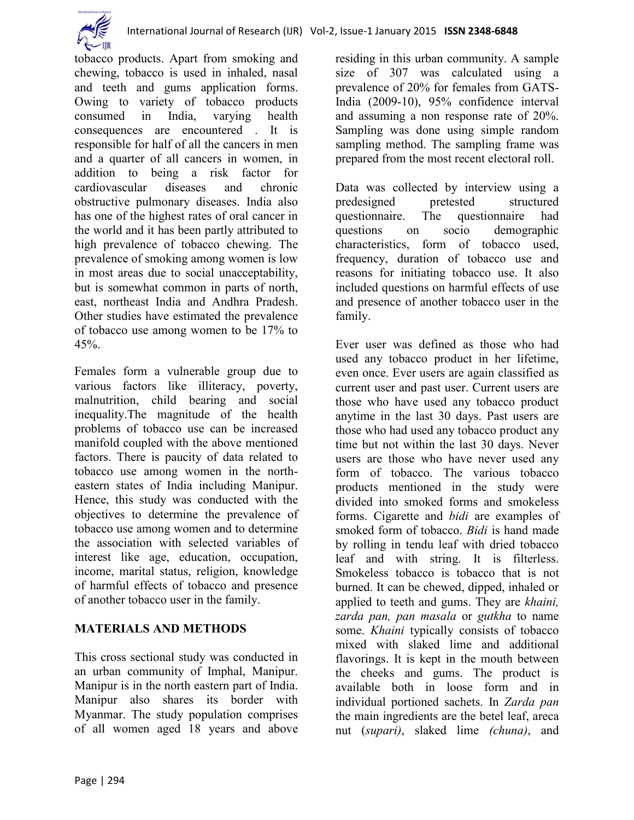tobacco products. Apart from smoking and chewing, tobacco is used in inhaled, nasal and teeth and gums application forms. Owing to variety of tobacco products consumed in India, varying health consequences are encountered . It is responsible for half of all the cancers in men and a quarter of all cancers in women, in addition to being a risk factor for cardiovascular diseases and chronic obstructive pulmonary diseases. India also has one of the highest rates of oral cancer in the world and it has been partly attributed to high prevalence of tobacco chewing. The prevalence of smoking among women is low in most areas due to social unacceptability, but is somewhat common in parts of north, east, northeast India and Andhra Pradesh. Other studies have estimated the prevalence of tobacco use among women to be 17% to  $45%$ 

Females form a vulnerable group due to various factors like illiteracy, poverty, malnutrition, child bearing and social inequality.The magnitude of the health problems of tobacco use can be increased manifold coupled with the above mentioned factors. There is paucity of data related to tobacco use among women in the northeastern states of India including Manipur. Hence, this study was conducted with the objectives to determine the prevalence of tobacco use among women and to determine the association with selected variables of interest like age, education, occupation, income, marital status, religion, knowledge of harmful effects of tobacco and presence of another tobacco user in the family.

## **MATERIALS AND METHODS**

This cross sectional study was conducted in an urban community of Imphal, Manipur. Manipur is in the north eastern part of India. Manipur also shares its border with Myanmar. The study population comprises of all women aged 18 years and above residing in this urban community. A sample size of 307 was calculated using a prevalence of 20% for females from GATS-India (2009-10), 95% confidence interval and assuming a non response rate of 20%. Sampling was done using simple random sampling method. The sampling frame was prepared from the most recent electoral roll.

Data was collected by interview using a predesigned pretested structured questionnaire. The questionnaire had questions on socio demographic characteristics, form of tobacco used, frequency, duration of tobacco use and reasons for initiating tobacco use. It also included questions on harmful effects of use and presence of another tobacco user in the family.

Ever user was defined as those who had used any tobacco product in her lifetime, even once. Ever users are again classified as current user and past user. Current users are those who have used any tobacco product anytime in the last 30 days. Past users are those who had used any tobacco product any time but not within the last 30 days. Never users are those who have never used any form of tobacco. The various tobacco products mentioned in the study were divided into smoked forms and smokeless forms. Cigarette and *bidi* are examples of smoked form of tobacco. *Bidi* is hand made by rolling in tendu leaf with dried tobacco leaf and with string. It is filterless. Smokeless tobacco is tobacco that is not burned. It can be chewed, dipped, inhaled or applied to teeth and gums. They are *khaini, zarda pan, pan masala* or *gutkha* to name some. *Khaini* typically consists of tobacco mixed with slaked lime and additional flavorings. It is kept in the mouth between the cheeks and gums. The product is available both in loose form and in individual portioned sachets. In *Zarda pan*  the main ingredients are the betel leaf, areca nut (*supari)*, slaked lime *(chuna)*, and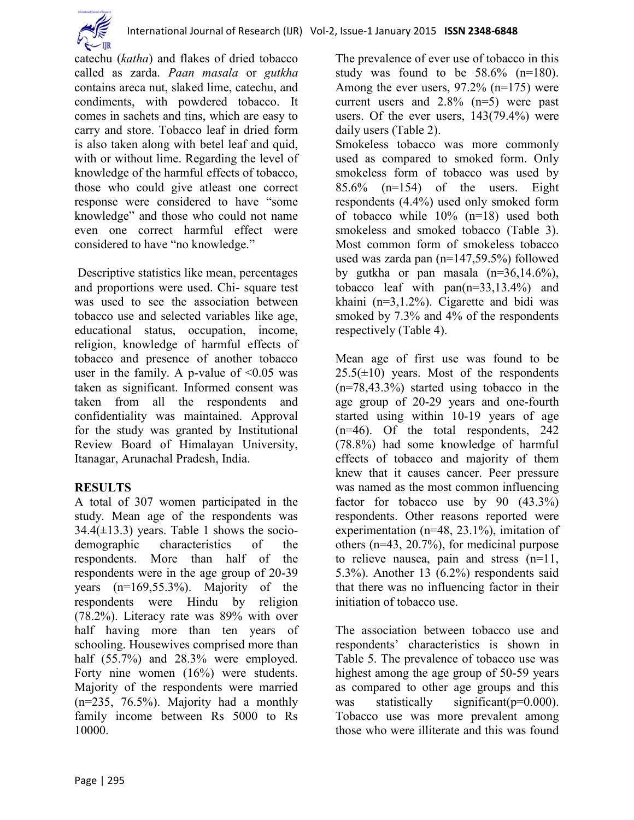

catechu (*katha*) and flakes of dried tobacco called as zarda. *Paan masala* or *gutkha*  contains areca nut, slaked lime, catechu, and condiments, with powdered tobacco. It comes in sachets and tins, which are easy to carry and store. Tobacco leaf in dried form is also taken along with betel leaf and quid, with or without lime. Regarding the level of knowledge of the harmful effects of tobacco, those who could give atleast one correct response were considered to have "some knowledge" and those who could not name even one correct harmful effect were considered to have "no knowledge."

Descriptive statistics like mean, percentages and proportions were used. Chi- square test was used to see the association between tobacco use and selected variables like age, educational status, occupation, income, religion, knowledge of harmful effects of tobacco and presence of another tobacco user in the family. A p-value of  $\leq 0.05$  was taken as significant. Informed consent was taken from all the respondents and confidentiality was maintained. Approval for the study was granted by Institutional Review Board of Himalayan University, Itanagar, Arunachal Pradesh, India.

## **RESULTS**

A total of 307 women participated in the study. Mean age of the respondents was  $34.4(\pm 13.3)$  years. Table 1 shows the sociodemographic characteristics of the respondents. More than half of the respondents were in the age group of 20-39 years (n=169,55.3%). Majority of the respondents were Hindu by religion (78.2%). Literacy rate was 89% with over half having more than ten years of schooling. Housewives comprised more than half (55.7%) and 28.3% were employed. Forty nine women (16%) were students. Majority of the respondents were married (n=235, 76.5%). Majority had a monthly family income between Rs 5000 to Rs 10000.

The prevalence of ever use of tobacco in this study was found to be  $58.6\%$  (n=180). Among the ever users, 97.2% (n=175) were current users and 2.8% (n=5) were past users. Of the ever users, 143(79.4%) were daily users (Table 2).

Smokeless tobacco was more commonly used as compared to smoked form. Only smokeless form of tobacco was used by  $85.6\%$  (n=154) of the users. Eight respondents (4.4%) used only smoked form of tobacco while 10% (n=18) used both smokeless and smoked tobacco (Table 3). Most common form of smokeless tobacco used was zarda pan (n=147,59.5%) followed by gutkha or pan masala  $(n=36,14.6\%)$ , tobacco leaf with pan(n=33,13.4%) and khaini (n=3,1.2%). Cigarette and bidi was smoked by 7.3% and 4% of the respondents respectively (Table 4).

Mean age of first use was found to be  $25.5(\pm 10)$  years. Most of the respondents (n=78,43.3%) started using tobacco in the age group of 20-29 years and one-fourth started using within 10-19 years of age (n=46). Of the total respondents, 242 (78.8%) had some knowledge of harmful effects of tobacco and majority of them knew that it causes cancer. Peer pressure was named as the most common influencing factor for tobacco use by 90  $(43.3\%)$ respondents. Other reasons reported were experimentation (n=48, 23.1%), imitation of others (n=43, 20.7%), for medicinal purpose to relieve nausea, pain and stress (n=11, 5.3%). Another 13 (6.2%) respondents said that there was no influencing factor in their initiation of tobacco use.

The association between tobacco use and respondents" characteristics is shown in Table 5. The prevalence of tobacco use was highest among the age group of 50-59 years as compared to other age groups and this was statistically significant(p=0.000). Tobacco use was more prevalent among those who were illiterate and this was found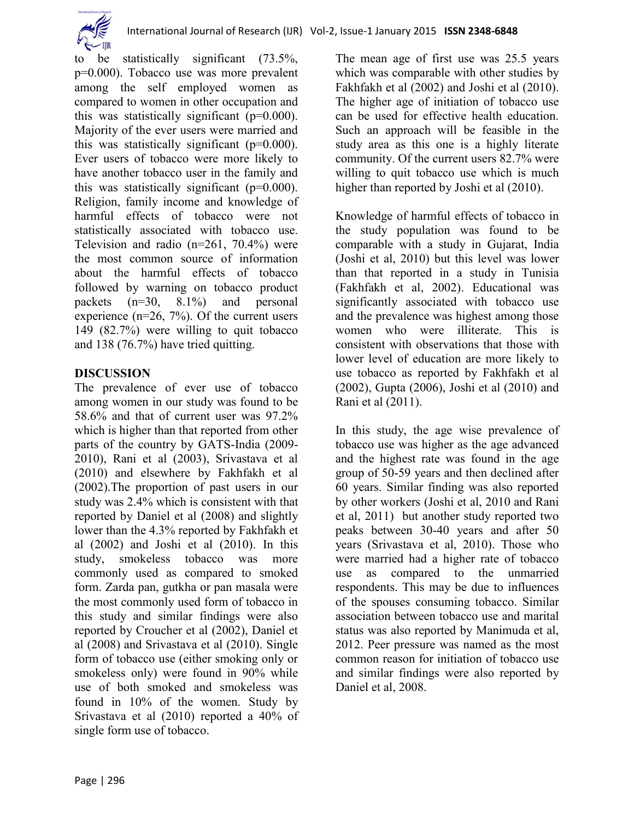

to be statistically significant (73.5%, p=0.000). Tobacco use was more prevalent among the self employed women as compared to women in other occupation and this was statistically significant (p=0.000). Majority of the ever users were married and this was statistically significant (p=0.000). Ever users of tobacco were more likely to have another tobacco user in the family and this was statistically significant  $(p=0.000)$ . Religion, family income and knowledge of harmful effects of tobacco were not statistically associated with tobacco use. Television and radio (n=261, 70.4%) were the most common source of information about the harmful effects of tobacco followed by warning on tobacco product packets (n=30, 8.1%) and personal experience  $(n=26, 7%)$ . Of the current users 149 (82.7%) were willing to quit tobacco and 138 (76.7%) have tried quitting.

#### **DISCUSSION**

The prevalence of ever use of tobacco among women in our study was found to be 58.6% and that of current user was 97.2% which is higher than that reported from other parts of the country by GATS-India (2009- 2010), Rani et al (2003), Srivastava et al (2010) and elsewhere by Fakhfakh et al (2002).The proportion of past users in our study was 2.4% which is consistent with that reported by Daniel et al (2008) and slightly lower than the 4.3% reported by Fakhfakh et al (2002) and Joshi et al (2010). In this study, smokeless tobacco was more commonly used as compared to smoked form. Zarda pan, gutkha or pan masala were the most commonly used form of tobacco in this study and similar findings were also reported by Croucher et al (2002), Daniel et al (2008) and Srivastava et al (2010). Single form of tobacco use (either smoking only or smokeless only) were found in 90% while use of both smoked and smokeless was found in 10% of the women. Study by Srivastava et al (2010) reported a 40% of single form use of tobacco.

The mean age of first use was 25.5 years which was comparable with other studies by Fakhfakh et al (2002) and Joshi et al (2010). The higher age of initiation of tobacco use can be used for effective health education. Such an approach will be feasible in the study area as this one is a highly literate community. Of the current users 82.7% were willing to quit tobacco use which is much higher than reported by Joshi et al  $(2010)$ .

Knowledge of harmful effects of tobacco in the study population was found to be comparable with a study in Gujarat, India (Joshi et al, 2010) but this level was lower than that reported in a study in Tunisia (Fakhfakh et al, 2002). Educational was significantly associated with tobacco use and the prevalence was highest among those women who were illiterate. This is consistent with observations that those with lower level of education are more likely to use tobacco as reported by Fakhfakh et al (2002), Gupta (2006), Joshi et al (2010) and Rani et al (2011).

In this study, the age wise prevalence of tobacco use was higher as the age advanced and the highest rate was found in the age group of 50-59 years and then declined after 60 years. Similar finding was also reported by other workers (Joshi et al, 2010 and Rani et al, 2011) but another study reported two peaks between 30-40 years and after 50 years (Srivastava et al, 2010). Those who were married had a higher rate of tobacco use as compared to the unmarried respondents. This may be due to influences of the spouses consuming tobacco. Similar association between tobacco use and marital status was also reported by Manimuda et al, 2012. Peer pressure was named as the most common reason for initiation of tobacco use and similar findings were also reported by Daniel et al, 2008.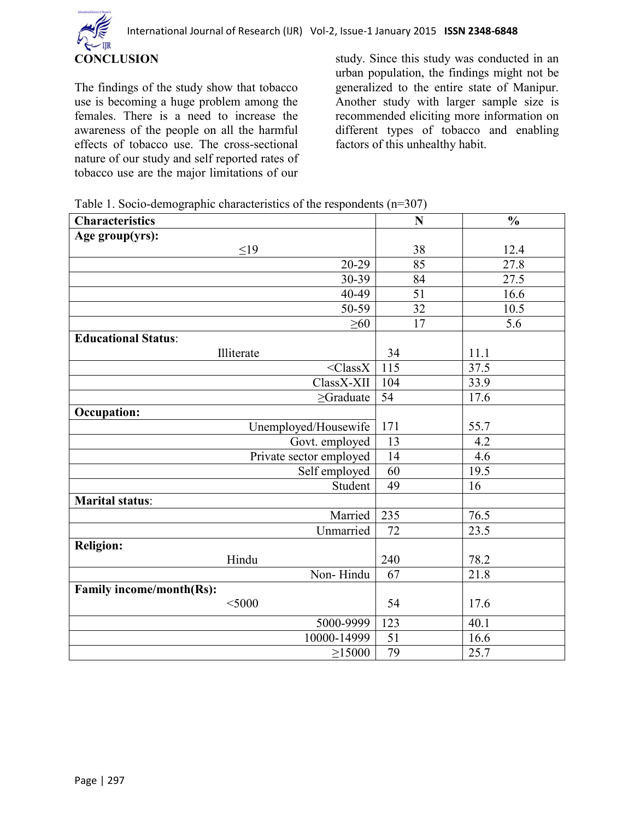

The findings of the study show that tobacco use is becoming a huge problem among the females. There is a need to increase the awareness of the people on all the harmful effects of tobacco use. The cross-sectional nature of our study and self reported rates of tobacco use are the major limitations of our

study. Since this study was conducted in an urban population, the findings might not be generalized to the entire state of Manipur. Another study with larger sample size is recommended eliciting more information on different types of tobacco and enabling factors of this unhealthy habit.

| Table 1. Socio-demographic characteristics of the respondents $(n=307)$ |  |  |  |  |  |  |  |
|-------------------------------------------------------------------------|--|--|--|--|--|--|--|
|-------------------------------------------------------------------------|--|--|--|--|--|--|--|

| <b>Characteristics</b>     | N               | $\frac{0}{0}$ |
|----------------------------|-----------------|---------------|
| Age group(yrs):            |                 |               |
| $\leq19$                   | 38              | 12.4          |
| 20-29                      | 85              | 27.8          |
| 30-39                      | 84              | 27.5          |
| 40-49                      | 51              | 16.6          |
| 50-59                      | $\overline{32}$ | 10.5          |
| $\geq 60$                  | $\overline{17}$ | 5.6           |
| <b>Educational Status:</b> |                 |               |
| Illiterate                 | 34              | 11.1          |
| $<$ Class $X$              | 115             | 37.5          |
| ClassX-XII                 | 104             | 33.9          |
| $\geq$ Graduate            | 54              | 17.6          |
| <b>Occupation:</b>         |                 |               |
| Unemployed/Housewife       | 171             | 55.7          |
| Govt. employed             | 13              | 4.2           |
| Private sector employed    | 14              | 4.6           |
| Self employed              | 60              | 19.5          |
| Student                    | 49              | 16            |
| <b>Marital status:</b>     |                 |               |
| Married                    | 235             | 76.5          |
| Unmarried                  | 72              | 23.5          |
| <b>Religion:</b>           |                 |               |
| Hindu                      | 240             | 78.2          |
| Non-Hindu                  | 67              | 21.8          |
| Family income/month(Rs):   |                 |               |
| $<$ 5000                   | 54              | 17.6          |
| 5000-9999                  | 123             | 40.1          |
| 10000-14999                | 51              | 16.6          |
| $\geq$ 15000               | 79              | 25.7          |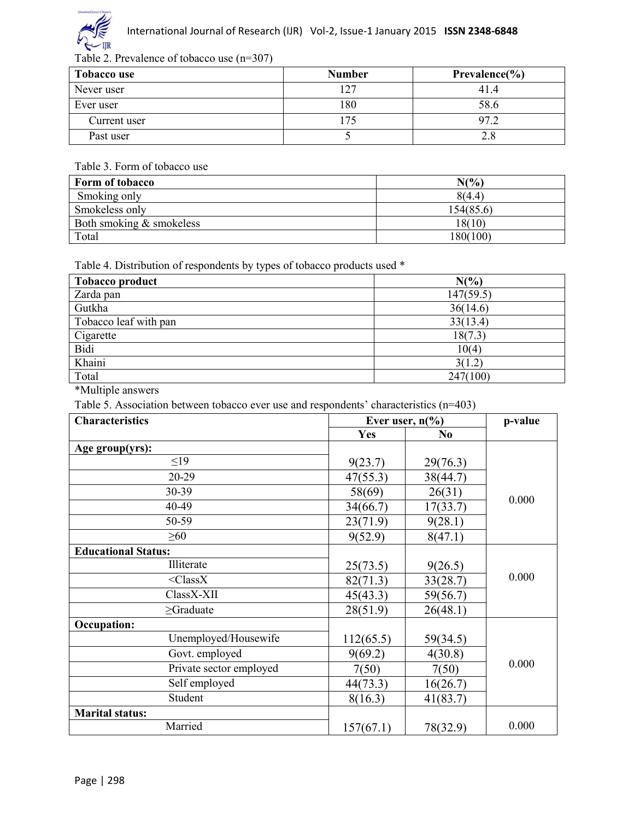

#### Table 2. Prevalence of tobacco use (n=307)

| Tobacco use  | <b>Number</b> | Prevalence $\frac{6}{6}$ |
|--------------|---------------|--------------------------|
| Never user   | l 27          | 41.4                     |
| Ever user    | 180           | 58.6                     |
| Current user |               | 07                       |
| Past user    |               |                          |

#### Table 3. Form of tobacco use

| Form of tobacco          | $N\binom{0}{0}$ |
|--------------------------|-----------------|
| Smoking only             | 8(4.4)          |
| Smokeless only           | 154(85.6)       |
| Both smoking & smokeless | 18(10)          |
| Total                    | 180(100)        |

Table 4. Distribution of respondents by types of tobacco products used \*

| <b>Tobacco product</b> | $N(\%)$   |
|------------------------|-----------|
| Zarda pan              | 147(59.5) |
| Gutkha                 | 36(14.6)  |
| Tobacco leaf with pan  | 33(13.4)  |
| Cigarette              | 18(7.3)   |
| Bidi                   | 10(4)     |
| Khaini                 | 3(1.2)    |
| Total                  | 247(100)  |

\*Multiple answers

Table 5. Association between tobacco ever use and respondents' characteristics (n=403)

| <b>Characteristics</b>     | Ever user, $n\frac{6}{6}$ |                | p-value |
|----------------------------|---------------------------|----------------|---------|
|                            | Yes                       | N <sub>0</sub> |         |
| Age group(yrs):            |                           |                |         |
| $\leq$ 19                  | 9(23.7)                   | 29(76.3)       |         |
| 20-29                      | 47(55.3)                  | 38(44.7)       |         |
| 30-39                      | 58(69)                    | 26(31)         |         |
| 40-49                      | 34(66.7)                  | 17(33.7)       | 0.000   |
| 50-59                      | 23(71.9)                  | 9(28.1)        |         |
| $\geq 60$                  | 9(52.9)                   | 8(47.1)        |         |
| <b>Educational Status:</b> |                           |                |         |
| Illiterate                 | 25(73.5)                  | 9(26.5)        |         |
| $<$ Class $X$              | 82(71.3)                  | 33(28.7)       | 0.000   |
| ClassX-XII                 | 45(43.3)                  | 59(56.7)       |         |
| $\geq$ Graduate            | 28(51.9)                  | 26(48.1)       |         |
| <b>Occupation:</b>         |                           |                |         |
| Unemployed/Housewife       | 112(65.5)                 | 59(34.5)       |         |
| Govt. employed             | 9(69.2)                   | 4(30.8)        |         |
| Private sector employed    | 7(50)                     | 7(50)          | 0.000   |
| Self employed              | 44(73.3)                  | 16(26.7)       |         |
| Student                    | 8(16.3)                   | 41(83.7)       |         |
| <b>Marital status:</b>     |                           |                |         |
| Married                    | 157(67.1)                 | 78(32.9)       | 0.000   |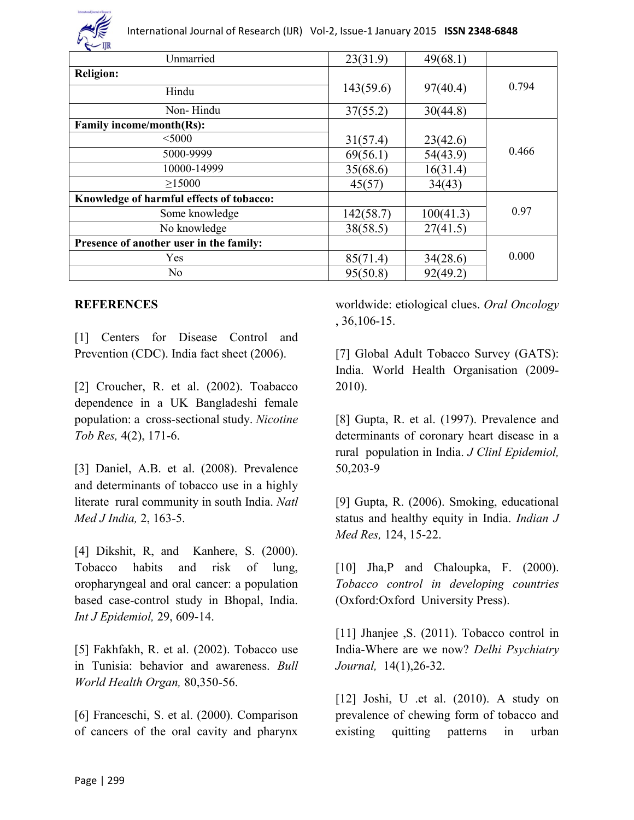

| ayan,<br>Unmarried                       | 23(31.9)  | 49(68.1)  |       |
|------------------------------------------|-----------|-----------|-------|
| <b>Religion:</b>                         |           |           |       |
| Hindu                                    | 143(59.6) | 97(40.4)  | 0.794 |
| Non-Hindu                                | 37(55.2)  | 30(44.8)  |       |
| <b>Family income/month(Rs):</b>          |           |           |       |
| $<$ 5000                                 | 31(57.4)  | 23(42.6)  |       |
| 5000-9999                                | 69(56.1)  | 54(43.9)  | 0.466 |
| 10000-14999                              | 35(68.6)  | 16(31.4)  |       |
| $\geq$ 15000                             | 45(57)    | 34(43)    |       |
| Knowledge of harmful effects of tobacco: |           |           |       |
| Some knowledge                           | 142(58.7) | 100(41.3) | 0.97  |
| No knowledge                             | 38(58.5)  | 27(41.5)  |       |
| Presence of another user in the family:  |           |           |       |
| Yes                                      | 85(71.4)  | 34(28.6)  | 0.000 |
| N <sub>0</sub>                           | 95(50.8)  | 92(49.2)  |       |

#### **REFERENCES**

[1] Centers for Disease Control and Prevention (CDC). India fact sheet (2006).

[2] Croucher, R. et al. (2002). Toabacco dependence in a UK Bangladeshi female population: a cross-sectional study. *Nicotine Tob Res,* 4(2), 171-6.

[3] Daniel, A.B. et al. (2008). Prevalence and determinants of tobacco use in a highly literate rural community in south India. *Natl Med J India,* 2, 163-5.

[4] Dikshit, R, and Kanhere, S. (2000). Tobacco habits and risk of lung, oropharyngeal and oral cancer: a population based case-control study in Bhopal, India. *Int J Epidemiol,* 29, 609-14.

[5] Fakhfakh, R. et al. (2002). Tobacco use in Tunisia: behavior and awareness. *Bull World Health Organ,* 80,350-56.

[6] Franceschi, S. et al. (2000). Comparison of cancers of the oral cavity and pharynx

worldwide: etiological clues. *Oral Oncology*  , 36,106-15.

[7] Global Adult Tobacco Survey (GATS): India. World Health Organisation (2009- 2010).

[8] Gupta, R. et al. (1997). Prevalence and determinants of coronary heart disease in a rural population in India. *J Clinl Epidemiol,*  50,203-9

[9] Gupta, R. (2006). Smoking, educational status and healthy equity in India. *Indian J Med Res,* 124, 15-22.

[10] Jha, P and Chaloupka, F. (2000). *Tobacco control in developing countries*  (Oxford:Oxford University Press).

[11] Jhanjee , S. (2011). Tobacco control in India-Where are we now? *Delhi Psychiatry Journal,* 14(1),26-32.

[12] Joshi, U .et al. (2010). A study on prevalence of chewing form of tobacco and existing quitting patterns in urban